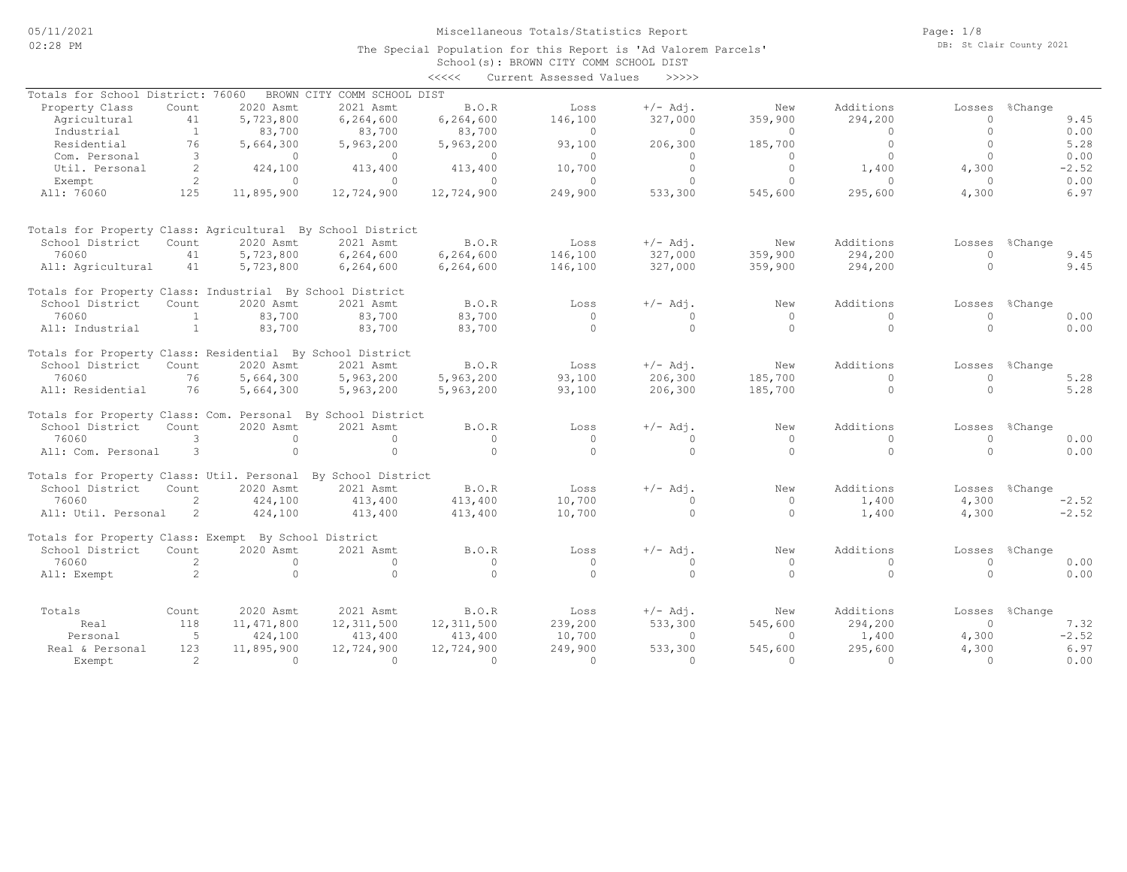The Special Population for this Report is 'Ad Valorem Parcels'

|                                                             |                |              |                             |              | School(s): BROWN CITY COMM SCHOOL DIST |              |              |           |              |                |
|-------------------------------------------------------------|----------------|--------------|-----------------------------|--------------|----------------------------------------|--------------|--------------|-----------|--------------|----------------|
|                                                             |                |              |                             | <<<<         | Current Assessed Values                | >>>>>        |              |           |              |                |
| Totals for School District: 76060                           |                |              | BROWN CITY COMM SCHOOL DIST |              |                                        |              |              |           |              |                |
| Property Class                                              | Count          | 2020 Asmt    | 2021 Asmt                   | <b>B.O.R</b> | Loss                                   | $+/-$ Adj.   | New          | Additions | Losses       | %Change        |
| Agricultural                                                | 41             | 5,723,800    | 6,264,600                   | 6,264,600    | 146,100                                | 327,000      | 359,900      | 294,200   | $\Omega$     | 9.45           |
| Industrial                                                  | 1              | 83,700       | 83,700                      | 83,700       | $\mathbf{0}$                           | $\circ$      | $\mathbf{0}$ | $\circ$   | $\mathbf{0}$ | 0.00           |
| Residential                                                 | 76             | 5,664,300    | 5,963,200                   | 5,963,200    | 93,100                                 | 206,300      | 185,700      | $\circ$   | $\Omega$     | 5.28           |
| Com. Personal                                               | 3              | $\circ$      | $\mathbf{0}$                | $\circ$      | $\mathbf{0}$                           | $\mathbf{0}$ | $\circ$      | $\circ$   | $\Omega$     | 0.00           |
| Util. Personal                                              | 2              | 424,100      | 413,400                     | 413,400      | 10,700                                 | $\Omega$     | $\circ$      | 1,400     | 4,300        | $-2.52$        |
| Exempt                                                      | 2              | $\circ$      | $\Omega$                    | $\Omega$     | $\mathbf{0}$                           | $\circ$      | $\Omega$     | $\Omega$  | $\Omega$     | 0.00           |
| All: 76060                                                  | 125            | 11,895,900   | 12,724,900                  | 12,724,900   | 249,900                                | 533,300      | 545,600      | 295,600   | 4,300        | 6.97           |
| Totals for Property Class: Agricultural By School District  |                |              |                             |              |                                        |              |              |           |              |                |
| School District                                             | Count          | 2020 Asmt    | 2021 Asmt                   | B.O.R        | Loss                                   | $+/-$ Adj.   | New          | Additions | Losses       | %Change        |
| 76060                                                       | 41             | 5,723,800    | 6,264,600                   | 6,264,600    | 146,100                                | 327,000      | 359,900      | 294,200   | $\Omega$     | 9.45           |
|                                                             | 41             |              |                             |              |                                        |              |              |           | $\Omega$     | 9.45           |
| All: Agricultural                                           |                | 5,723,800    | 6,264,600                   | 6,264,600    | 146,100                                | 327,000      | 359,900      | 294,200   |              |                |
| Totals for Property Class: Industrial By School District    |                |              |                             |              |                                        |              |              |           |              |                |
| School District                                             | Count          | 2020 Asmt    | 2021 Asmt                   | B.O.R        | Loss                                   | $+/-$ Adj.   | New          | Additions | Losses       | %Change        |
| 76060                                                       | $\mathbf{1}$   | 83,700       | 83,700                      | 83,700       | $\mathbf{0}$                           | $\circ$      | $\mathbf{0}$ | $\circ$   | $\Omega$     | 0.00           |
| All: Industrial                                             | 1              | 83,700       | 83,700                      | 83,700       | $\Omega$                               | $\circ$      | $\Omega$     | $\circ$   | $\cap$       | 0.00           |
| Totals for Property Class: Residential By School District   |                |              |                             |              |                                        |              |              |           |              |                |
| School District                                             | Count          | 2020 Asmt    | 2021 Asmt                   | B.O.R        | Loss                                   | $+/-$ Adj.   | New          | Additions | Losses       | %Change        |
| 76060                                                       | 76             | 5,664,300    | 5,963,200                   | 5,963,200    | 93,100                                 | 206,300      | 185,700      | $\Omega$  | $\Omega$     | 5.28           |
| All: Residential                                            | 76             | 5,664,300    | 5,963,200                   | 5,963,200    | 93,100                                 | 206,300      | 185,700      | $\circ$   | $\Omega$     | 5.28           |
| Totals for Property Class: Com. Personal By School District |                |              |                             |              |                                        |              |              |           |              |                |
| School District                                             | Count          | 2020 Asmt    | 2021 Asmt                   | B.O.R        | LOSS                                   | $+/-$ Adj.   | New          | Additions |              | Losses %Change |
| 76060                                                       | 3              | $\Omega$     | $\Omega$                    | $\circ$      | $\circ$                                | $\Omega$     | $\circ$      | $\Omega$  | $\Omega$     | 0.00           |
| All: Com. Personal                                          | 3              | $\Omega$     | $\Omega$                    | $\Omega$     | $\Omega$                               | $\Omega$     | $\Omega$     | $\Omega$  | $\cap$       | 0.00           |
| Totals for Property Class: Util. Personal                   |                |              | By School District          |              |                                        |              |              |           |              |                |
| School District                                             | Count          | 2020 Asmt    | 2021 Asmt                   | B.O.R        | Loss                                   | $+/-$ Adj.   | New          | Additions | Losses       | %Change        |
| 76060                                                       | 2              | 424,100      | 413,400                     | 413,400      | 10,700                                 | $\cap$       | $\Omega$     | 1,400     | 4,300        | $-2.52$        |
| All: Util. Personal                                         | 2              | 424,100      | 413,400                     | 413,400      | 10,700                                 | $\circ$      | $\Omega$     | 1,400     | 4,300        | $-2.52$        |
|                                                             |                |              |                             |              |                                        |              |              |           |              |                |
| Totals for Property Class: Exempt By School District        |                |              |                             |              |                                        |              |              |           |              |                |
| School District                                             | Count          | 2020 Asmt    | 2021 Asmt                   | B.O.R        | Loss                                   | $+/-$ Adj.   | New          | Additions | Losses       | %Change        |
| 76060                                                       | 2              | $\Omega$     | $\Omega$                    | $\circ$      | $\mathbf{0}$                           | $\Omega$     | $\mathbf{0}$ | $\Omega$  | $\Omega$     | 0.00           |
| All: Exempt                                                 | 2              | $\circ$      | $\Omega$                    | $\circ$      | $\Omega$                               | $\circ$      | $\Omega$     | $\circ$   | $\Omega$     | 0.00           |
|                                                             |                |              |                             |              |                                        |              |              |           |              |                |
| Totals                                                      | Count          | 2020 Asmt    | 2021 Asmt                   | <b>B.O.R</b> | Loss                                   | $+/-$ Adj.   | New          | Additions | Losses       | %Change        |
| Real                                                        | 118            | 11, 471, 800 | 12, 311, 500                | 12, 311, 500 | 239,200                                | 533,300      | 545,600      | 294,200   | $\Omega$     | 7.32           |
| Personal                                                    | -5             | 424,100      | 413,400                     | 413,400      | 10,700                                 | $\circ$      | $\Omega$     | 1,400     | 4,300        | $-2.52$        |
| Real & Personal                                             | 123            | 11,895,900   | 12,724,900                  | 12,724,900   | 249,900                                | 533,300      | 545,600      | 295,600   | 4,300        | 6.97           |
| Exempt                                                      | $\overline{2}$ | $\Omega$     | $\Omega$                    | $\Omega$     | $\Omega$                               | $\Omega$     | $\Omega$     | $\Omega$  | $\Omega$     | 0.00           |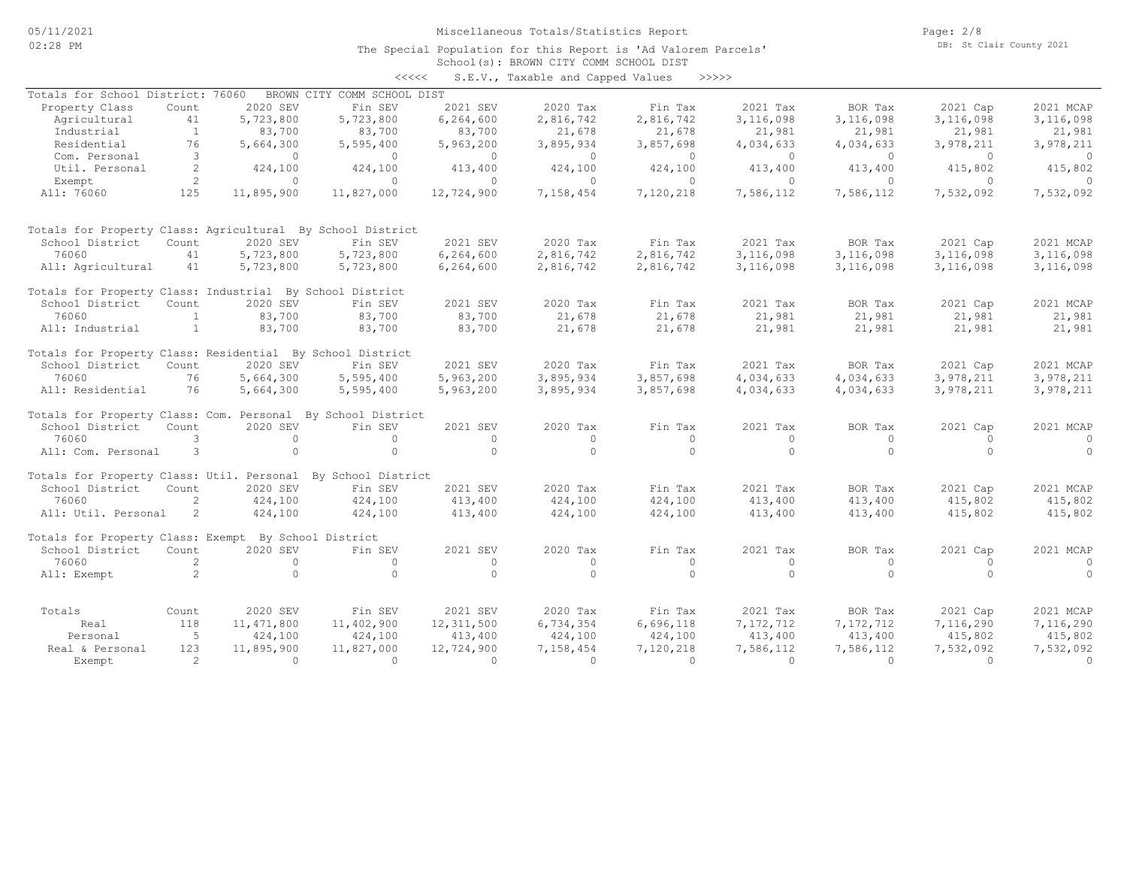Page: 2/8 DB: St Clair County 2021

#### School(s): BROWN CITY COMM SCHOOL DIST The Special Population for this Report is 'Ad Valorem Parcels' <<<<< S.E.V., Taxable and Capped Values >>>>>

|                                                             |                      |              |                             |              | v.s.v., raxavie and capped varues |           |           |           |              |           |
|-------------------------------------------------------------|----------------------|--------------|-----------------------------|--------------|-----------------------------------|-----------|-----------|-----------|--------------|-----------|
| Totals for School District: 76060                           |                      |              | BROWN CITY COMM SCHOOL DIST |              |                                   |           |           |           |              |           |
| Property Class                                              | Count                | 2020 SEV     | Fin SEV                     | 2021 SEV     | 2020 Tax                          | Fin Tax   | 2021 Tax  | BOR Tax   | 2021 Cap     | 2021 MCAP |
| Agricultural                                                | 41                   | 5,723,800    | 5,723,800                   | 6,264,600    | 2,816,742                         | 2,816,742 | 3,116,098 | 3,116,098 | 3,116,098    | 3,116,098 |
| Industrial                                                  | <sup>1</sup>         | 83,700       | 83,700                      | 83,700       | 21,678                            | 21,678    | 21,981    | 21,981    | 21,981       | 21,981    |
| Residential                                                 | 76                   | 5,664,300    | 5,595,400                   | 5,963,200    | 3,895,934                         | 3,857,698 | 4,034,633 | 4,034,633 | 3,978,211    | 3,978,211 |
| Com. Personal                                               | 3                    | $\Omega$     | $\Omega$                    | $\circ$      | $\circ$                           | $\circ$   | $\Omega$  | $\Omega$  | $\Omega$     | $\Omega$  |
| Util. Personal                                              | 2                    | 424,100      | 424,100                     | 413,400      | 424,100                           | 424,100   | 413,400   | 413,400   | 415,802      | 415,802   |
| Exempt                                                      | $\mathbf{2}^{\circ}$ | $\circ$      | $\circ$                     | $\circ$      | $\circ$                           | $\circ$   | $\circ$   | $\circ$   | $\mathbf{0}$ | $\Omega$  |
| All: 76060                                                  | 125                  | 11,895,900   | 11,827,000                  | 12,724,900   | 7,158,454                         | 7,120,218 | 7,586,112 | 7,586,112 | 7,532,092    | 7,532,092 |
| Totals for Property Class: Agricultural By School District  |                      |              |                             |              |                                   |           |           |           |              |           |
| School District                                             | Count                | 2020 SEV     | Fin SEV                     | 2021 SEV     | 2020 Tax                          | Fin Tax   | 2021 Tax  | BOR Tax   | 2021 Cap     | 2021 MCAP |
| 76060                                                       | 41                   | 5,723,800    | 5,723,800                   | 6,264,600    | 2,816,742                         | 2,816,742 | 3,116,098 | 3,116,098 | 3,116,098    | 3,116,098 |
| All: Agricultural                                           | 41                   | 5,723,800    | 5,723,800                   | 6,264,600    | 2,816,742                         | 2,816,742 | 3,116,098 | 3,116,098 | 3,116,098    | 3,116,098 |
| Totals for Property Class: Industrial By School District    |                      |              |                             |              |                                   |           |           |           |              |           |
| School District                                             | Count                | 2020 SEV     | Fin SEV                     | 2021 SEV     | 2020 Tax                          | Fin Tax   | 2021 Tax  | BOR Tax   | 2021 Cap     | 2021 MCAP |
| 76060                                                       | <sup>1</sup>         | 83,700       | 83,700                      | 83,700       | 21,678                            | 21,678    | 21,981    | 21,981    | 21,981       | 21,981    |
| All: Industrial                                             | $\mathbf{1}$         | 83,700       | 83,700                      | 83,700       | 21,678                            | 21,678    | 21,981    | 21,981    | 21,981       | 21,981    |
| Totals for Property Class: Residential By School District   |                      |              |                             |              |                                   |           |           |           |              |           |
| School District                                             | Count                | 2020 SEV     | Fin SEV                     | 2021 SEV     | 2020 Tax                          | Fin Tax   | 2021 Tax  | BOR Tax   | 2021 Cap     | 2021 MCAP |
| 76060                                                       | 76                   | 5,664,300    | 5,595,400                   | 5,963,200    | 3,895,934                         | 3,857,698 | 4,034,633 | 4,034,633 | 3,978,211    | 3,978,211 |
| All: Residential                                            | 76                   | 5,664,300    | 5,595,400                   | 5,963,200    | 3,895,934                         | 3,857,698 | 4,034,633 | 4,034,633 | 3,978,211    | 3,978,211 |
| Totals for Property Class: Com. Personal By School District |                      |              |                             |              |                                   |           |           |           |              |           |
| School District                                             | Count                | 2020 SEV     | Fin SEV                     | 2021 SEV     | 2020 Tax                          | Fin Tax   | 2021 Tax  | BOR Tax   | 2021 Cap     | 2021 MCAP |
| 76060                                                       | 3                    | $\Omega$     | $\Omega$                    | $\circ$      | $\circ$                           | $\circ$   | $\circ$   | $\Omega$  | $\Omega$     | $\Omega$  |
| All: Com. Personal                                          | 3                    | $\Omega$     | $\Omega$                    | $\Omega$     | $\Omega$                          | $\Omega$  | $\Omega$  | $\Omega$  | $\Omega$     | $\Omega$  |
| Totals for Property Class: Util. Personal                   |                      |              | By School District          |              |                                   |           |           |           |              |           |
| School District                                             | Count                | 2020 SEV     | Fin SEV                     | 2021 SEV     | 2020 Tax                          | Fin Tax   | 2021 Tax  | BOR Tax   | 2021 Cap     | 2021 MCAP |
| 76060                                                       | $\overline{2}$       | 424,100      | 424,100                     | 413,400      | 424,100                           | 424,100   | 413,400   | 413,400   | 415,802      | 415,802   |
| All: Util. Personal                                         | 2                    | 424,100      | 424,100                     | 413,400      | 424,100                           | 424,100   | 413,400   | 413,400   | 415,802      | 415,802   |
| Totals for Property Class: Exempt By School District        |                      |              |                             |              |                                   |           |           |           |              |           |
| School District                                             | Count                | 2020 SEV     | Fin SEV                     | 2021 SEV     | 2020 Tax                          | Fin Tax   | 2021 Tax  | BOR Tax   | 2021 Cap     | 2021 MCAP |
| 76060                                                       | 2                    | $\Omega$     | $\Omega$                    | $\circ$      | $\circ$                           | $\circ$   | $\circ$   | $\circ$   | $\Omega$     | $\circ$   |
| All: Exempt                                                 | 2                    | $\Omega$     | $\Omega$                    | $\circ$      | $\Omega$                          | $\circ$   | $\Omega$  | $\Omega$  | $\Omega$     | $\Omega$  |
| Totals                                                      | Count                | 2020 SEV     | Fin SEV                     | 2021 SEV     | 2020 Tax                          | Fin Tax   | 2021 Tax  | BOR Tax   | 2021 Cap     | 2021 MCAP |
| Real                                                        | 118                  | 11, 471, 800 | 11,402,900                  | 12, 311, 500 | 6,734,354                         | 6,696,118 | 7,172,712 | 7,172,712 | 7,116,290    | 7,116,290 |
| Personal                                                    | - 5                  | 424,100      | 424,100                     | 413,400      | 424,100                           | 424,100   | 413,400   | 413,400   | 415,802      | 415,802   |
| Real & Personal                                             | 123                  | 11,895,900   | 11,827,000                  | 12,724,900   | 7,158,454                         | 7,120,218 | 7,586,112 | 7,586,112 | 7,532,092    | 7,532,092 |
| Exempt                                                      | $\mathcal{L}$        | $\cap$       | $\cap$                      | $\Omega$     | $\Omega$                          | $\Omega$  | $\Omega$  | $\Omega$  | $\Omega$     | $\Omega$  |
|                                                             |                      |              |                             |              |                                   |           |           |           |              |           |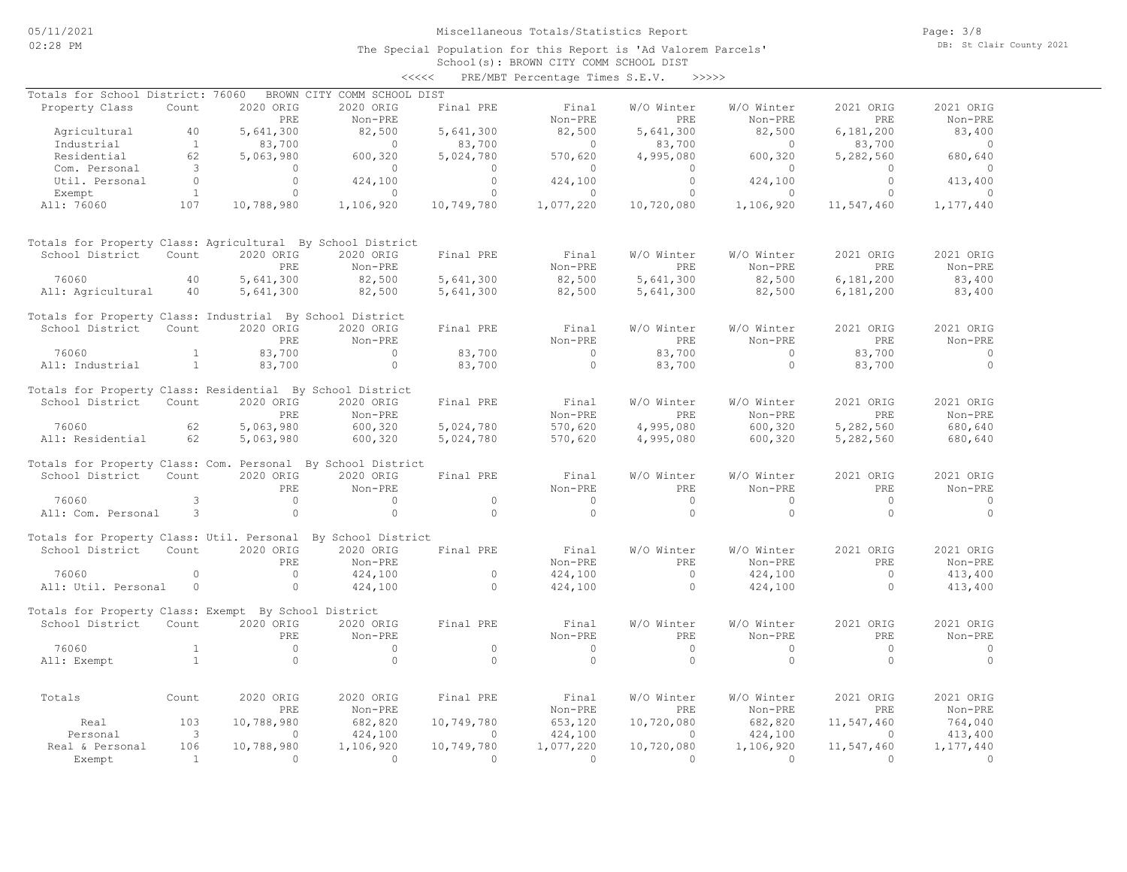School(s): BROWN CITY COMM SCHOOL DIST <<<<< PRE/MBT Percentage Times S.E.V. >>>>>

| Totals for School District: 76060                            |                     |                        | BROWN CITY COMM SCHOOL DIST |                         |                      |                        |                      |                       |                           |
|--------------------------------------------------------------|---------------------|------------------------|-----------------------------|-------------------------|----------------------|------------------------|----------------------|-----------------------|---------------------------|
| Property Class                                               | Count               | 2020 ORIG              | 2020 ORIG                   | Final PRE               | Final                | W/O Winter             | W/O Winter           | 2021 ORIG             | 2021 ORIG                 |
|                                                              |                     | PRE                    | Non-PRE                     |                         | Non-PRE              | PRE                    | Non-PRE              | PRE                   | Non-PRE                   |
| Agricultural                                                 | 40                  | 5,641,300              | 82,500                      | 5,641,300               | 82,500               | 5,641,300              | 82,500               | 6,181,200             | 83,400                    |
| Industrial                                                   | <sup>1</sup>        | 83,700                 | $\Omega$                    | 83,700                  | $\Omega$             | 83,700                 | $\Omega$             | 83,700                | $\overline{0}$            |
| Residential                                                  | 62                  | 5,063,980              | 600,320                     | 5,024,780               | 570,620              | 4,995,080              | 600,320              | 5,282,560             | 680,640                   |
| Com. Personal                                                | 3                   | $\circ$                | $\circ$                     | $\circ$                 | $\Omega$             | $\Omega$               | $\circ$              | $\Omega$              | $\circ$                   |
| Util. Personal                                               | $\Omega$            | $\Omega$               | 424,100                     | $\Omega$                | 424,100              | $\Omega$               | 424,100              | $\Omega$              | 413,400                   |
| Exempt<br>All: 76060                                         | $\mathbf{1}$<br>107 | $\circ$<br>10,788,980  | $\circ$<br>1,106,920        | $\circ$<br>10,749,780   | $\circ$<br>1,077,220 | $\circ$<br>10,720,080  | $\circ$<br>1,106,920 | $\circ$<br>11,547,460 | $\mathbf{0}$<br>1,177,440 |
|                                                              |                     |                        |                             |                         |                      |                        |                      |                       |                           |
| Totals for Property Class: Agricultural By School District   |                     |                        |                             |                         |                      |                        |                      |                       |                           |
| School District                                              | Count               | 2020 ORIG              | 2020 ORIG                   | Final PRE               | Final                | W/O Winter             | W/O Winter           | 2021 ORIG             | 2021 ORIG                 |
|                                                              |                     | PRE                    | Non-PRE                     |                         | Non-PRE              | PRE                    | Non-PRE              | PRE                   | Non-PRE                   |
| 76060                                                        | 40                  | 5,641,300              | 82,500                      | 5,641,300               | 82,500               | 5,641,300              | 82,500               | 6,181,200             | 83,400                    |
| All: Agricultural                                            | 40                  | 5,641,300              | 82,500                      | 5,641,300               | 82,500               | 5,641,300              | 82,500               | 6,181,200             | 83,400                    |
| Totals for Property Class: Industrial By School District     |                     |                        |                             |                         |                      |                        |                      |                       |                           |
| School District                                              | Count               | 2020 ORIG              | 2020 ORIG                   | Final PRE               | Final                | W/O Winter             | W/O Winter           | 2021 ORIG             | 2021 ORIG                 |
|                                                              |                     | PRE                    | Non-PRE                     |                         | Non-PRE              | <b>PRE</b>             | Non-PRE              | PRE                   | Non-PRE                   |
| 76060                                                        | $\mathbf{1}$        | 83,700                 | $\Omega$                    | 83,700                  | $\Omega$             | 83,700                 | $\Omega$             | 83,700                | $\circ$                   |
| All: Industrial                                              | $\mathbf{1}$        | 83,700                 | $\circ$                     | 83,700                  | $\Omega$             | 83,700                 | $\circ$              | 83,700                | $\Omega$                  |
| Totals for Property Class: Residential By School District    |                     |                        |                             |                         |                      |                        |                      |                       |                           |
| School District                                              | Count               | 2020 ORIG              | 2020 ORIG                   | Final PRE               | Final                | W/O Winter             | W/O Winter           | 2021 ORIG             | 2021 ORIG                 |
|                                                              |                     | PRE                    | Non-PRE                     |                         | Non-PRE              | <b>PRE</b>             | Non-PRE              | PRE                   | Non-PRE                   |
| 76060                                                        | 62                  | 5,063,980              | 600,320                     | 5,024,780               | 570,620              | 4,995,080              | 600,320              | 5,282,560             | 680,640                   |
| All: Residential                                             | 62                  | 5,063,980              | 600,320                     | 5,024,780               | 570,620              | 4,995,080              | 600,320              | 5,282,560             | 680,640                   |
| Totals for Property Class: Com. Personal By School District  |                     |                        |                             |                         |                      |                        |                      |                       |                           |
| School District                                              | Count               | 2020 ORIG              | 2020 ORIG                   | Final PRE               | Final                | W/O Winter             | W/O Winter           | 2021 ORIG             | 2021 ORIG                 |
|                                                              |                     | PRE                    | Non-PRE                     |                         | Non-PRE              | PRE                    | Non-PRE              | PRE                   | Non-PRE                   |
| 76060                                                        | 3                   | $\circ$                | $\Omega$                    | $\Omega$                | $\Omega$             | $\circ$                | $\circ$              | $\Omega$              | $\circ$                   |
| All: Com. Personal                                           | 3                   | $\circ$                | $\Omega$                    | $\cap$                  | $\Omega$             | $\Omega$               | $\circ$              | $\Omega$              | $\Omega$                  |
| Totals for Property Class: Util. Personal By School District |                     |                        |                             |                         |                      |                        |                      |                       |                           |
| School District                                              | Count               | 2020 ORIG              | 2020 ORIG                   | Final PRE               | Final                | W/O Winter             | W/O Winter           | 2021 ORIG             | 2021 ORIG                 |
|                                                              |                     | PRE                    | Non-PRE                     |                         | Non-PRE              | PRE                    | Non-PRE              | PRE                   | Non-PRE                   |
| 76060                                                        | $\Omega$            | $\Omega$               | 424,100                     | $\Omega$                | 424,100              | $\circ$                | 424,100              | $\Omega$              | 413,400                   |
| All: Util. Personal                                          | $\circ$             | $\Omega$               | 424,100                     | $\Omega$                | 424,100              | $\Omega$               | 424,100              | $\Omega$              | 413,400                   |
| Totals for Property Class: Exempt By School District         |                     |                        |                             |                         |                      |                        |                      |                       |                           |
| School District                                              | Count               | 2020 ORIG              | 2020 ORIG                   | Final PRE               | Final                | W/O Winter             | W/O Winter           | 2021 ORIG             | 2021 ORIG                 |
|                                                              |                     | PRE                    | Non-PRE                     |                         | Non-PRE              | PRE                    | Non-PRE              | <b>PRE</b>            | Non-PRE                   |
| 76060                                                        | $\mathbf{1}$        | $\Omega$               | $\Omega$                    | $\Omega$                | $\Omega$             | $\Omega$               | $\circ$              | $\Omega$              | $\circ$                   |
| All: Exempt                                                  | $\overline{1}$      | $\Omega$               | $\Omega$                    | $\Omega$                | $\Omega$             | $\Omega$               | $\Omega$             | $\Omega$              | $\Omega$                  |
|                                                              |                     |                        |                             |                         |                      |                        |                      |                       |                           |
| Totals                                                       | Count               | 2020 ORIG              | 2020 ORIG                   | Final PRE               | Final                | W/O Winter             | W/O Winter           | 2021 ORIG             | 2021 ORIG                 |
|                                                              |                     | PRE                    | Non-PRE                     |                         | Non-PRE              | PRE                    | Non-PRE              | PRE                   | Non-PRE                   |
| Real                                                         | 103                 | 10,788,980<br>$\Omega$ | 682,820                     | 10,749,780              | 653,120              | 10,720,080<br>$\Omega$ | 682,820              | 11,547,460<br>$\cap$  | 764,040                   |
| Personal<br>Real & Personal                                  | 3<br>106            | 10,788,980             | 424,100<br>1,106,920        | $\bigcap$<br>10,749,780 | 424,100<br>1,077,220 | 10,720,080             | 424,100<br>1,106,920 | 11,547,460            | 413,400<br>1,177,440      |
| Exempt                                                       | $\overline{1}$      | $\Omega$               | $\Omega$                    | $\Omega$                | $\Omega$             | $\Omega$               | $\Omega$             | $\Omega$              | $\Omega$                  |
|                                                              |                     |                        |                             |                         |                      |                        |                      |                       |                           |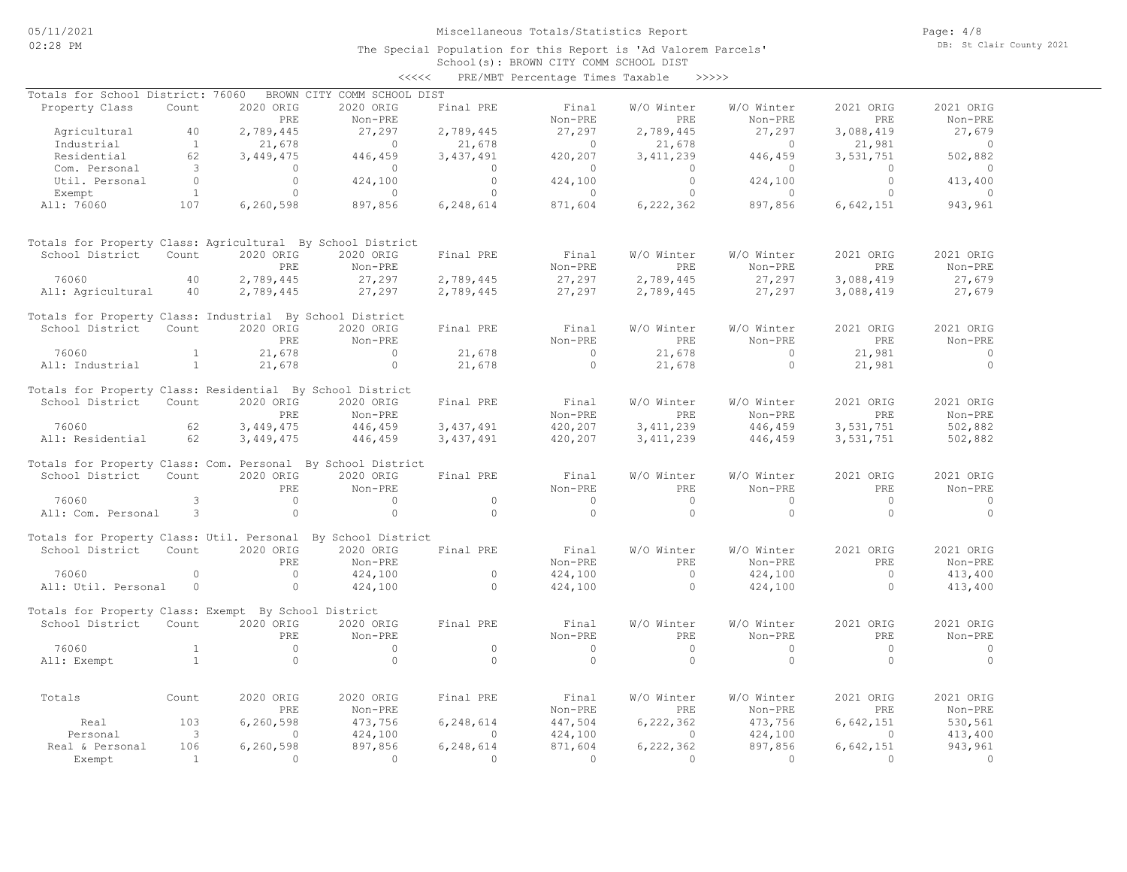School(s): BROWN CITY COMM SCHOOL DIST <<<<< PRE/MBT Percentage Times Taxable >>>>>

| Totals for School District: 76060                            |                         |             | BROWN CITY COMM SCHOOL DIST |             |                |                |                |            |                |
|--------------------------------------------------------------|-------------------------|-------------|-----------------------------|-------------|----------------|----------------|----------------|------------|----------------|
|                                                              |                         |             |                             |             |                |                |                |            |                |
| Property Class                                               | Count                   | 2020 ORIG   | 2020 ORIG                   | Final PRE   | Final          | W/O Winter     | W/O Winter     | 2021 ORIG  | 2021 ORIG      |
|                                                              |                         | PRE         | Non-PRE                     |             | Non-PRE        | <b>PRE</b>     | Non-PRE        | PRE        | Non-PRE        |
| Agricultural                                                 | 40                      | 2,789,445   | 27,297                      | 2,789,445   | 27,297         | 2,789,445      | 27,297         | 3,088,419  | 27,679         |
| Industrial                                                   | $\overline{1}$          | 21,678      | $\overline{0}$              | 21,678      | $\sim$ 0       | 21,678         | $\overline{0}$ | 21,981     | $\sim$ 0       |
| Residential                                                  | 62                      | 3,449,475   | 446,459                     | 3,437,491   | 420,207        | 3, 411, 239    | 446,459        | 3,531,751  | 502,882        |
| Com. Personal                                                | $\overline{\mathbf{3}}$ | $\circ$     | $\circ$                     | $\Omega$    | $\circ$        | $\circ$        | $\overline{0}$ | $\circ$    | $\overline{0}$ |
| Util. Personal                                               | $\Omega$                | $\Omega$    | 424,100                     | $\Omega$    | 424,100        | $\Omega$       | 424,100        | $\Omega$   | 413,400        |
| Exempt                                                       | $\overline{1}$          | $\Omega$    | $\Omega$                    | $\Omega$    | $\Omega$       | $\Omega$       | $\overline{0}$ | $\Omega$   | $\Omega$       |
| All: 76060                                                   | 107                     | 6,260,598   | 897,856                     | 6,248,614   | 871,604        | 6,222,362      | 897,856        | 6,642,151  | 943,961        |
| Totals for Property Class: Agricultural By School District   |                         |             |                             |             |                |                |                |            |                |
| School District                                              | Count                   | 2020 ORIG   | 2020 ORIG                   | Final PRE   | Final          | W/O Winter     | W/O Winter     | 2021 ORIG  | 2021 ORIG      |
|                                                              |                         |             |                             |             |                |                |                |            |                |
|                                                              |                         | PRE.        | Non-PRE                     |             | Non-PRE        | PRE.           | Non-PRE        | PRE        | Non-PRE        |
| 76060                                                        | 40                      | 2,789,445   | 27,297                      | 2,789,445   | 27,297         | 2,789,445      | 27,297         | 3,088,419  | 27,679         |
| All: Agricultural                                            | 40                      | 2,789,445   | 27,297                      | 2,789,445   | 27,297         | 2,789,445      | 27,297         | 3,088,419  | 27,679         |
| Totals for Property Class: Industrial By School District     |                         |             |                             |             |                |                |                |            |                |
| School District                                              | Count                   | 2020 ORIG   | 2020 ORIG                   | Final PRE   | Final          | W/O Winter     | W/O Winter     | 2021 ORIG  | 2021 ORIG      |
|                                                              |                         | PRE         | Non-PRE                     |             | Non-PRE        | <b>PRE</b>     | Non-PRE        | PRE        | Non-PRE        |
| 76060                                                        | $\mathbf{1}$            | 21,678      | $\Omega$                    | 21,678      | $\bigcap$      | 21,678         | $\Omega$       | 21,981     | $\bigcap$      |
| All: Industrial                                              | $\mathbf{1}$            | 21,678      | $\circ$                     | 21,678      | $\Omega$       | 21,678         | $\circ$        | 21,981     | $\bigcirc$     |
| Totals for Property Class: Residential By School District    |                         |             |                             |             |                |                |                |            |                |
| School District                                              | Count                   | 2020 ORIG   | 2020 ORIG                   | Final PRE   | Final          | W/O Winter     | W/O Winter     | 2021 ORIG  | 2021 ORIG      |
|                                                              |                         | PRE         | Non-PRE                     |             | Non-PRE        | PRE            | Non-PRE        | PRE        | Non-PRE        |
| 76060                                                        | 62                      | 3,449,475   | 446,459                     | 3, 437, 491 | 420,207        | 3, 411, 239    | 446,459        | 3,531,751  | 502,882        |
| All: Residential                                             | 62                      | 3,449,475   | 446,459                     | 3,437,491   | 420,207        | 3, 411, 239    | 446,459        | 3,531,751  | 502,882        |
| Totals for Property Class: Com. Personal By School District  |                         |             |                             |             |                |                |                |            |                |
| School District                                              | Count                   | 2020 ORIG   | 2020 ORIG                   | Final PRE   | Final          | W/O Winter     | W/O Winter     | 2021 ORIG  | 2021 ORIG      |
|                                                              |                         | PRE         | Non-PRE                     |             | Non-PRE        | PRE            | Non-PRE        | PRE        | Non-PRE        |
| 76060                                                        | 3                       | $\circ$     | $\Omega$                    | $\Omega$    | $\overline{0}$ | $\overline{0}$ | $\circ$        | $\bigcirc$ | $\Omega$       |
| All: Com. Personal                                           | 3                       | $\circ$     | $\Omega$                    | $\Omega$    | $\Omega$       | $\Omega$       | $\Omega$       | $\Omega$   | $\Omega$       |
| Totals for Property Class: Util. Personal By School District |                         |             |                             |             |                |                |                |            |                |
| School District                                              | Count                   | 2020 ORIG   | 2020 ORIG                   | Final PRE   | Final          | W/O Winter     | W/O Winter     | 2021 ORIG  | 2021 ORIG      |
|                                                              |                         | PRE         | Non-PRE                     |             | Non-PRE        | PRE            | Non-PRE        | PRE        | Non-PRE        |
| 76060                                                        | $\Omega$                | $\Omega$    | 424,100                     | $\Omega$    | 424,100        | $\Omega$       | 424,100        | $\Omega$   | 413,400        |
| All: Util. Personal                                          | $\circ$                 | $\circ$     | 424,100                     | $\Omega$    | 424,100        | $\circ$        | 424,100        | $\circ$    | 413,400        |
| Totals for Property Class: Exempt By School District         |                         |             |                             |             |                |                |                |            |                |
| School District                                              | Count                   | 2020 ORIG   | 2020 ORIG                   | Final PRE   | Final          | W/O Winter     | W/O Winter     | 2021 ORIG  | 2021 ORIG      |
|                                                              |                         | PRE         | Non-PRE                     |             | Non-PRE        | PRE            | Non-PRE        | PRE        | Non-PRE        |
| 76060                                                        | $\mathbf{1}$            | $\Omega$    | $\Omega$                    | $\Omega$    | $\Omega$       | $\Omega$       | $\Omega$       | $\Omega$   | $\Omega$       |
|                                                              | $\mathbf{1}$            |             | $\circ$                     | $\cap$      | $\circ$        | $\circ$        | $\circ$        | $\circ$    | $\Omega$       |
| All: Exempt                                                  |                         | $\circ$     |                             |             |                |                |                |            |                |
| Totals                                                       | Count                   | 2020 ORIG   | 2020 ORIG                   | Final PRE   | Final          | W/O Winter     | W/O Winter     | 2021 ORIG  | 2021 ORIG      |
|                                                              |                         | PRE         | Non-PRE                     |             | Non-PRE        | PRE            | Non-PRE        | PRE        | Non-PRE        |
| Real                                                         | 103                     | 6, 260, 598 | 473,756                     | 6,248,614   | 447,504        | 6,222,362      | 473,756        | 6,642,151  | 530,561        |
| Personal                                                     | $\overline{\mathbf{3}}$ | $\Omega$    | 424,100                     | $\Omega$    | 424,100        | $\Omega$       | 424,100        | $\Omega$   | 413,400        |
| Real & Personal                                              | 106                     | 6,260,598   | 897,856                     | 6,248,614   | 871,604        | 6,222,362      | 897,856        | 6,642,151  | 943,961        |
| Exempt                                                       | $\overline{1}$          | $\circ$     | $\Omega$                    | $\Omega$    | $\Omega$       | $\Omega$       | $\Omega$       | $\Omega$   | $\Omega$       |
|                                                              |                         |             |                             |             |                |                |                |            |                |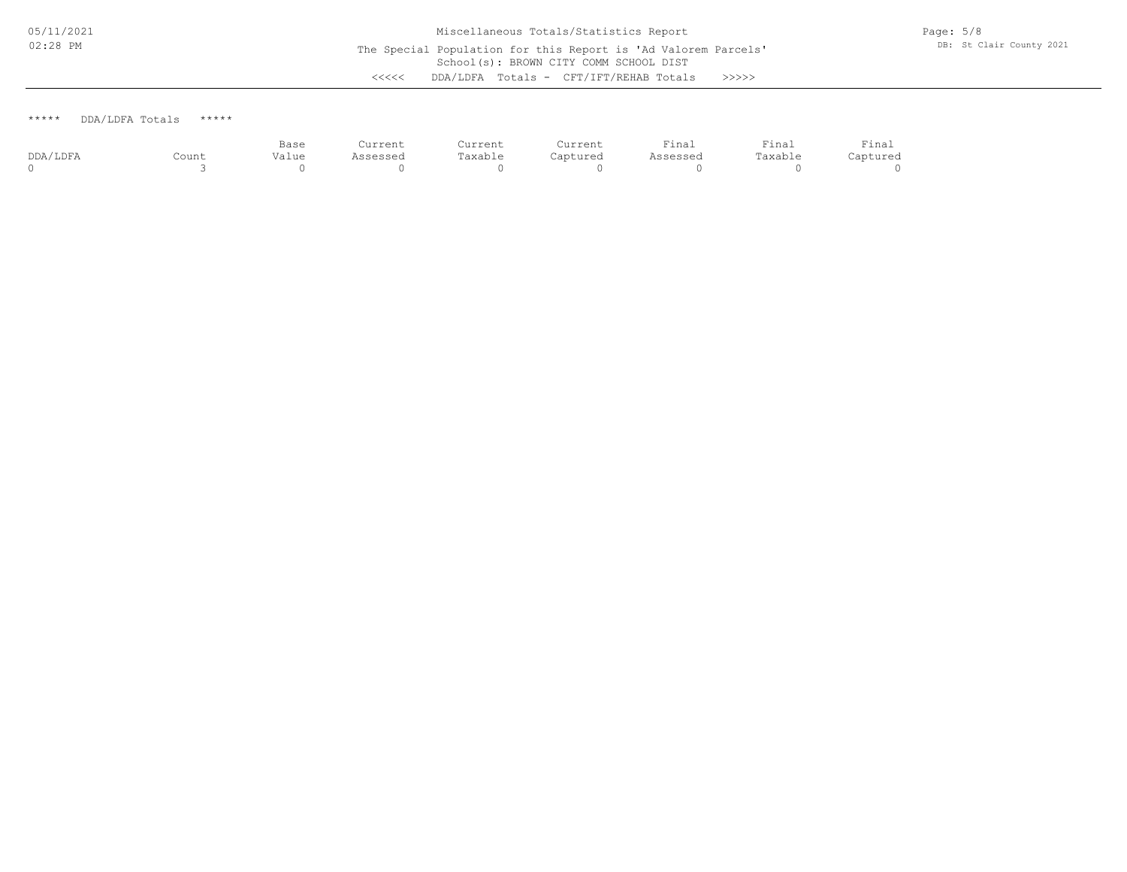### \*\*\*\*\* DDA/LDFA Totals \*\*\*\*\*

|          |       | Base  | Current  | Current | Current  | Final    | Final   | $\sim$<br>Final<br>the contract of the contract of the contract of |
|----------|-------|-------|----------|---------|----------|----------|---------|--------------------------------------------------------------------|
| DDA/LDFA | Count | Value | Assessed | Taxable | Captured | Assessed | Taxable | Captured                                                           |
|          |       |       |          |         |          |          |         |                                                                    |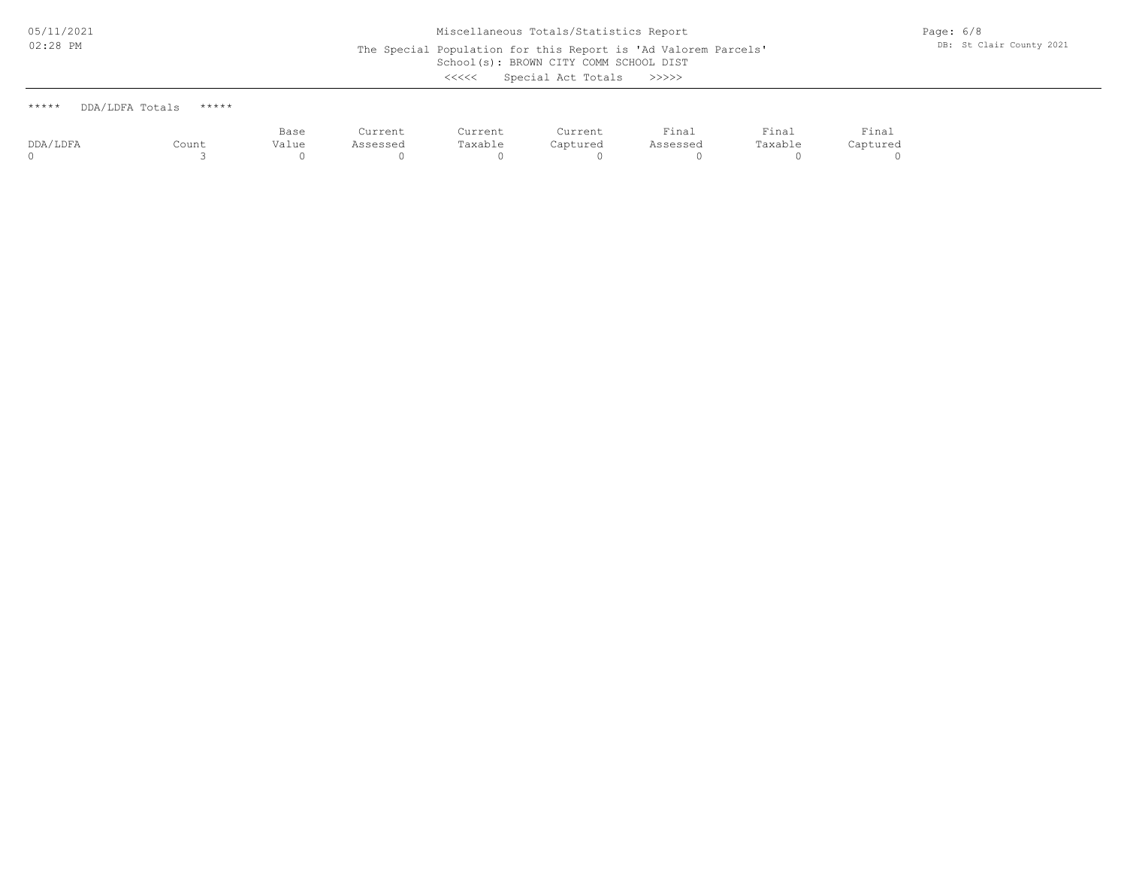# School(s): BROWN CITY COMM SCHOOL DIST Miscellaneous Totals/Statistics Report The Special Population for this Report is 'Ad Valorem Parcels'

Page: 6/8 DB: St Clair County 2021

<<<<< Special Act Totals >>>>>

| *****    | DDA/LDFA Totals<br>***** |       |          |         |          |          |         |          |
|----------|--------------------------|-------|----------|---------|----------|----------|---------|----------|
|          |                          | Base  | Current  | Current | Current  | Final    | Final   | Final    |
| DDA/LDFA | Count                    | Value | Assessed | Taxable | Captured | Assessed | Taxable | Captured |

0 3 0 0 0 0 0 0 0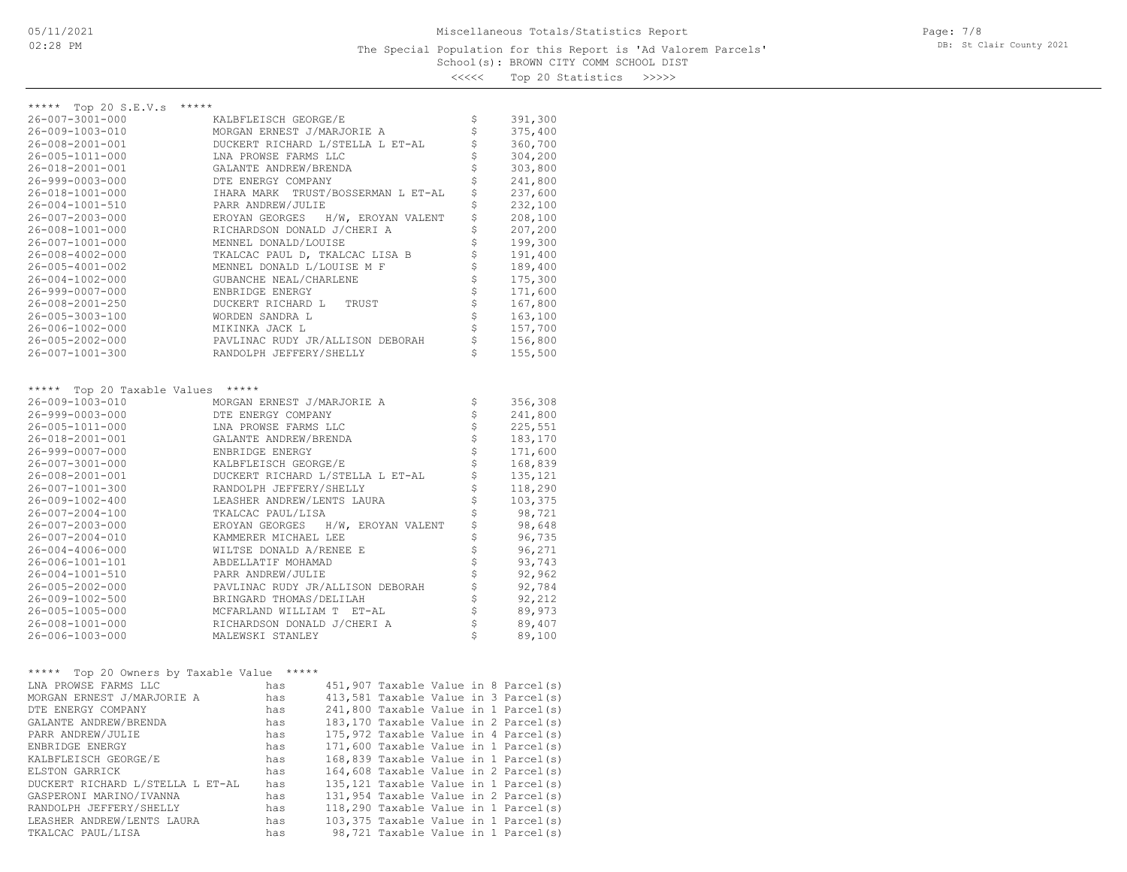School(s): BROWN CITY COMM SCHOOL DIST 20 Statistics >>>>>

| くくくくく |  | Top 20 Statistics | >>>> |
|-------|--|-------------------|------|
|       |  |                   |      |

| ***** Top 20 S.E.V.s<br>*****                 |                                             |                   |         |
|-----------------------------------------------|---------------------------------------------|-------------------|---------|
| 26-007-3001-000                               | KALBFLEISCH GEORGE/E                        | \$                | 391,300 |
| 26-009-1003-010                               | MORGAN ERNEST J/MARJORIE A                  | \$                | 375,400 |
| 26-008-2001-001                               | DUCKERT RICHARD L/STELLA L ET-AL            | \$                | 360,700 |
| 26-005-1011-000                               | LNA PROWSE FARMS LLC                        | \$                | 304,200 |
| 26-018-2001-001                               | GALANTE ANDREW/BRENDA                       | \$                | 303,800 |
| 26-999-0003-000                               | DTE ENERGY COMPANY                          | \$                | 241,800 |
| 26-018-1001-000                               | IHARA MARK TRUST/BOSSERMAN L ET-AL          | \$                | 237,600 |
| 26-004-1001-510                               | PARR ANDREW/JULIE                           | \$                | 232,100 |
| 26-007-2003-000                               | EROYAN GEORGES H/W, EROYAN VALENT           | $\dot{\varsigma}$ | 208,100 |
| 26-008-1001-000                               | RICHARDSON DONALD J/CHERI A                 | \$                | 207,200 |
| 26-007-1001-000                               | MENNEL DONALD/LOUISE                        |                   | 199,300 |
| 26-008-4002-000                               | TKALCAC PAUL D, TKALCAC LISA B              | \$                | 191,400 |
| 26-005-4001-002                               | MENNEL DONALD L/LOUISE M F                  | \$                | 189,400 |
|                                               |                                             |                   |         |
| 26-004-1002-000                               | GUBANCHE NEAL/CHARLENE                      | \$                | 175,300 |
| 26-999-0007-000                               | ENBRIDGE ENERGY                             |                   | 171,600 |
| 26-008-2001-250                               | DUCKERT RICHARD L<br>TRUST                  | $\frac{1}{2}$     | 167,800 |
| 26-005-3003-100                               | WORDEN SANDRA L                             |                   | 163,100 |
| 26-006-1002-000                               | MIKINKA JACK L                              | $\dot{\varsigma}$ | 157,700 |
| 26-005-2002-000                               | PAVLINAC RUDY JR/ALLISON DEBORAH            | \$                | 156,800 |
| 26-007-1001-300                               | RANDOLPH JEFFERY/SHELLY                     | \$                | 155,500 |
|                                               |                                             |                   |         |
| Top 20 Taxable Values *****<br>*****          |                                             |                   |         |
| 26-009-1003-010                               | MORGAN ERNEST J/MARJORIE A                  | \$                | 356,308 |
| 26-999-0003-000                               | DTE ENERGY COMPANY                          | \$                | 241,800 |
| 26-005-1011-000                               | LNA PROWSE FARMS LLC                        |                   | 225,551 |
| 26-018-2001-001                               | GALANTE ANDREW/BRENDA                       | $\frac{1}{2}$     | 183,170 |
| 26-999-0007-000                               | ENBRIDGE ENERGY                             | \$                | 171,600 |
| 26-007-3001-000                               | KALBFLEISCH GEORGE/E                        |                   | 168,839 |
| 26-008-2001-001                               | DUCKERT RICHARD L/STELLA L ET-AL            | \$                | 135,121 |
| 26-007-1001-300                               | RANDOLPH JEFFERY/SHELLY                     | \$                | 118,290 |
| 26-009-1002-400                               | LEASHER ANDREW/LENTS LAURA                  | \$                | 103,375 |
| 26-007-2004-100                               | TKALCAC PAUL/LISA                           | \$                | 98,721  |
| 26-007-2003-000                               | EROYAN GEORGES H/W, EROYAN VALENT           |                   | 98,648  |
| $26 - 007 - 2004 - 010$                       | KAMMERER MICHAEL LEE                        | \$                | 96,735  |
| 26-004-4006-000                               | WILTSE DONALD A/RENEE E                     |                   | 96,271  |
| 26-006-1001-101                               | ABDELLATIF MOHAMAD                          |                   | 93,743  |
| 26-004-1001-510                               | PARR ANDREW/JULIE                           |                   | 92,962  |
| 26-005-2002-000                               | PAVLINAC RUDY JR/ALLISON DEBORAH            |                   | 92,784  |
|                                               | BRINGARD THOMAS/DELILAH                     |                   |         |
| 26-009-1002-500                               |                                             | \$\$\$\$\$\$\$\$  | 92,212  |
| 26-005-1005-000                               | MCFARLAND WILLIAM T ET-AL                   | \$                | 89,973  |
| $26 - 008 - 1001 - 000$                       | RICHARDSON DONALD J/CHERI A                 | \$                | 89,407  |
| 26-006-1003-000                               | MALEWSKI STANLEY                            |                   | 89,100  |
|                                               |                                             |                   |         |
| Top 20 Owners by Taxable Value *****<br>***** |                                             |                   |         |
| LNA PROWSE FARMS LLC                          | 451,907 Taxable Value in 8 Parcel(s)<br>has |                   |         |
| MORGAN ERNEST J/MARJORIE A                    | 413,581 Taxable Value in 3 Parcel(s)<br>has |                   |         |
| DTE ENERGY COMPANY                            | 241,800 Taxable Value in 1 Parcel(s)<br>has |                   |         |
| GALANTE ANDREW/BRENDA                         | 183,170 Taxable Value in 2 Parcel(s)<br>has |                   |         |
| PARR ANDREW/JULIE                             | 175,972 Taxable Value in 4 Parcel(s)<br>has |                   |         |
| ENBRIDGE ENERGY                               | 171,600 Taxable Value in 1 Parcel(s)<br>has |                   |         |

TKALCAC PAUL/LISA has 98,721 Taxable Value in 1 Parcel(s) LEASHER ANDREW/LENTS LAURA has 103,375 Taxable Value in 1 Parcel(s) RANDOLPH JEFFERY/SHELLY has 118,290 Taxable Value in 1 Parcel(s) GASPERONI MARINO/IVANNA has 131,954 Taxable Value in 2 Parcel(s) DUCKERT RICHARD L/STELLA L ET-AL has 135,121 Taxable Value in 1 Parcel(s) ELSTON GARRICK has 164,608 Taxable Value in 2 Parcel(s) KALBFLEISCH GEORGE/E has 168,839 Taxable Value in 1 Parcel(s)